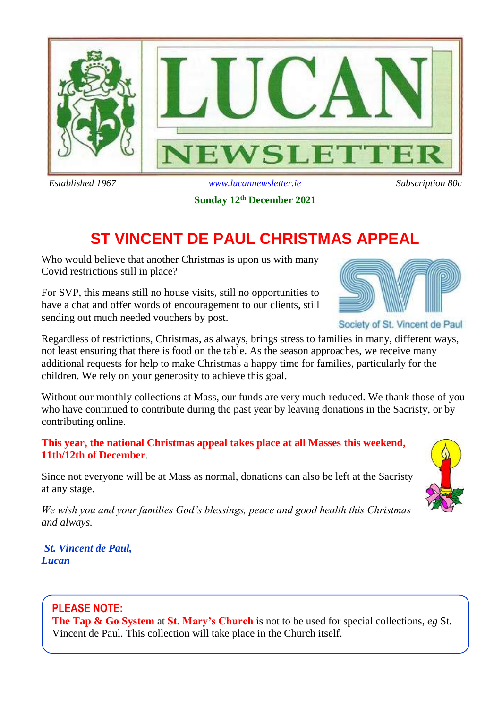

**Sunday 12th December 2021**

# **ST VINCENT DE PAUL CHRISTMAS APPEAL**

Who would believe that another Christmas is upon us with many Covid restrictions still in place?

For SVP, this means still no house visits, still no opportunities to have a chat and offer words of encouragement to our clients, still sending out much needed vouchers by post.



Society of St. Vincent de Paul

Regardless of restrictions, Christmas, as always, brings stress to families in many, different ways, not least ensuring that there is food on the table. As the season approaches, we receive many additional requests for help to make Christmas a happy time for families, particularly for the children. We rely on your generosity to achieve this goal.

Without our monthly collections at Mass, our funds are very much reduced. We thank those of you who have continued to contribute during the past year by leaving donations in the Sacristy, or by contributing online.

**This year, the national Christmas appeal takes place at all Masses this weekend, 11th/12th of December**.

Since not everyone will be at Mass as normal, donations can also be left at the Sacristy at any stage.

*We wish you and your families God's blessings, peace and good health this Christmas and always.* 

*St. Vincent de Paul, Lucan*



### **PLEASE NOTE:**

**The Tap & Go System** at **St. Mary's Church** is not to be used for special collections, *eg* St. Vincent de Paul. This collection will take place in the Church itself.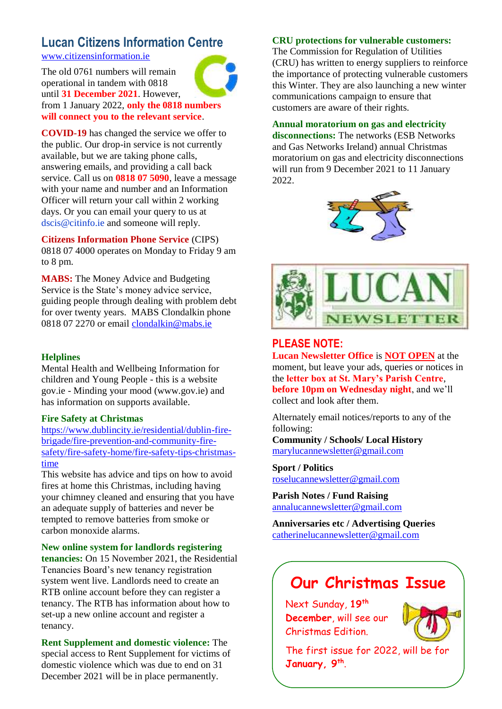### **Lucan Citizens Information Centre** [www.citizensinformation.ie](http://www.citizensinformation.ie/)

The old 0761 numbers will remain operational in tandem with 0818 until **31 December 2021**. However, from 1 January 2022, **only the 0818 numbers will connect you to the relevant service**.

**COVID-19** has changed the service we offer to the public. Our drop-in service is not currently available, but we are taking phone calls, answering emails, and providing a call back service. Call us on **0818 07 5090**, leave a message with your name and number and an Information Officer will return your call within 2 working days. Or you can email your query to us at dscis@citinfo.ie and someone will reply.

**Citizens Information Phone Service** (CIPS) 0818 07 4000 operates on Monday to Friday 9 am to 8 pm.

**MABS:** The Money Advice and Budgeting Service is the State's money advice service, guiding people through dealing with problem debt for over twenty years. MABS Clondalkin phone 0818 07 2270 or email [clondalkin@mabs.ie](mailto:clondalkin@mabs.ie)

#### **Helplines**

Mental Health and Wellbeing Information for children and Young People - this is a website gov.ie - Minding your mood (www.gov.ie) and has information on supports available.

#### **Fire Safety at Christmas**

[https://www.dublincity.ie/residential/dublin-fire](https://www.dublincity.ie/residential/dublin-fire-brigade/fire-prevention-and-community-fire-safety/fire-safety-home/fire-safety-tips-christmas-time)[brigade/fire-prevention-and-community-fire](https://www.dublincity.ie/residential/dublin-fire-brigade/fire-prevention-and-community-fire-safety/fire-safety-home/fire-safety-tips-christmas-time)[safety/fire-safety-home/fire-safety-tips-christmas](https://www.dublincity.ie/residential/dublin-fire-brigade/fire-prevention-and-community-fire-safety/fire-safety-home/fire-safety-tips-christmas-time)[time](https://www.dublincity.ie/residential/dublin-fire-brigade/fire-prevention-and-community-fire-safety/fire-safety-home/fire-safety-tips-christmas-time)

This website has advice and tips on how to avoid fires at home this Christmas, including having your chimney cleaned and ensuring that you have an adequate supply of batteries and never be tempted to remove batteries from smoke or carbon monoxide alarms.

#### **New online system for landlords registering**

**tenancies:** On 15 November 2021, the Residential Tenancies Board's new tenancy registration system went live. Landlords need to create an RTB online account before they can register a tenancy. The RTB has information about how to set-up a new online account and register a tenancy.

**Rent Supplement and domestic violence:** The special access to Rent Supplement for victims of domestic violence which was due to end on 31 December 2021 will be in place permanently.

#### **CRU protections for vulnerable customers:**

The Commission for Regulation of Utilities (CRU) has written to energy suppliers to reinforce the importance of protecting vulnerable customers this Winter. They are also launching a new winter communications campaign to ensure that customers are aware of their rights.

#### **Annual moratorium on gas and electricity disconnections:** The networks (ESB Networks

and Gas Networks Ireland) annual Christmas moratorium on gas and electricity disconnections will run from 9 December 2021 to 11 January 2022.





### **PLEASE NOTE:**

**Lucan Newsletter Office** is **NOT OPEN** at the moment, but leave your ads, queries or notices in the **letter box at St. Mary's Parish Centre**, **before 10pm on Wednesday night**, and we'll collect and look after them.

Alternately email notices/reports to any of the following:

**Community / Schools/ Local History**  [marylucannewsletter@gmail.com](mailto:marylucannewsletter@gmail.com) 

**Sport / Politics** [roselucannewsletter@gmail.com](mailto:roselucannewsletter@gmail.com)

**Parish Notes / Fund Raising** [annalucannewsletter@gmail.com](mailto:annalucannewsletter@gmail.com)

**Anniversaries etc / Advertising Queries**  [catherinelucannewsletter@gmail.com](mailto:catherinelucannewsletter@gmail.com)

## **Our Christmas Issue**

Next Sunday, **19th December**, will see our Christmas Edition.



The first issue for 2022, will be for **January, 9th** .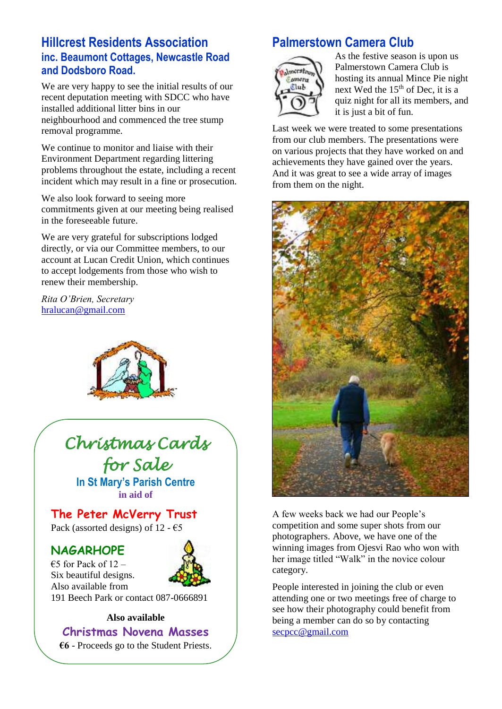### **Hillcrest Residents Association inc. Beaumont Cottages, Newcastle Road and Dodsboro Road.**

We are very happy to see the initial results of our recent deputation meeting with SDCC who have installed additional litter bins in our neighbourhood and commenced the tree stump removal programme.

We continue to monitor and liaise with their Environment Department regarding littering problems throughout the estate, including a recent incident which may result in a fine or prosecution.

We also look forward to seeing more commitments given at our meeting being realised in the foreseeable future.

We are very grateful for subscriptions lodged directly, or via our Committee members, to our account at Lucan Credit Union, which continues to accept lodgements from those who wish to renew their membership.

*Rita O'Brien, Secretary*  [hralucan@gmail.com](mailto:hralucan@gmail.com)



# *Christmas Cards for Sale*

**In St Mary's Parish Centre in aid of**

**The Peter McVerry Trust**

Pack (assorted designs) of 12 -  $\epsilon$ 5

### **NAGARHOPE**

€5 for Pack of  $12$  – Six beautiful designs. Also available from



191 Beech Park or contact 087-0666891

#### **Also available**

**Christmas Novena Masses**

**€6** - Proceeds go to the Student Priests.

## **Palmerstown Camera Club**



As the festive season is upon us Palmerstown Camera Club is hosting its annual Mince Pie night next Wed the  $15<sup>th</sup>$  of Dec, it is a quiz night for all its members, and it is just a bit of fun.

Last week we were treated to some presentations from our club members. The presentations were on various projects that they have worked on and achievements they have gained over the years. And it was great to see a wide array of images from them on the night.



A few weeks back we had our People's competition and some super shots from our photographers. Above, we have one of the winning images from Ojesvi Rao who won with her image titled "Walk" in the novice colour category.

People interested in joining the club or even attending one or two meetings free of charge to see how their photography could benefit from being a member can do so by contacting [secpcc@gmail.com](mailto:secpcc@gmail.com)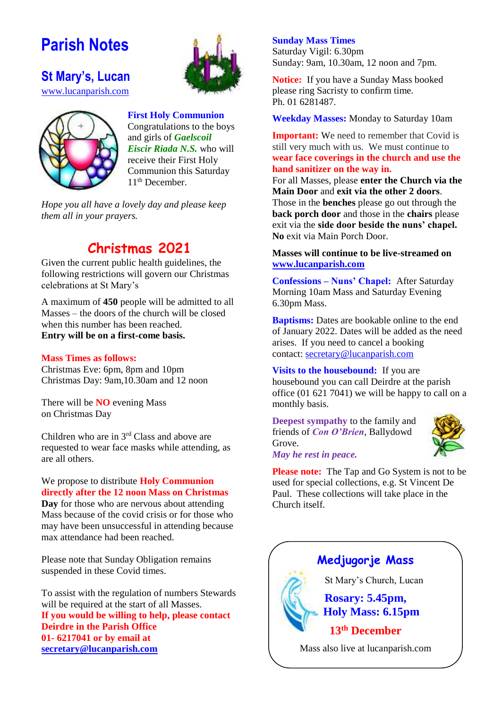# **Parish Notes**



**St Mary's, Lucan**  [www.lucanparish.com](http://www.lucanparish.com/)



**First Holy Communion** Congratulations to the boys and girls of *Gaelscoil Eiscir Riada N.S.* who will receive their First Holy Communion this Saturday 11<sup>th</sup> December.

*Hope you all have a lovely day and please keep them all in your prayers.* 

## **Christmas 2021**

Given the current public health guidelines, the following restrictions will govern our Christmas celebrations at St Mary's

A maximum of **450** people will be admitted to all Masses – the doors of the church will be closed when this number has been reached. **Entry will be on a first-come basis.** 

#### **Mass Times as follows:**

Christmas Eve: 6pm, 8pm and 10pm Christmas Day: 9am,10.30am and 12 noon

There will be **NO** evening Mass on Christmas Day

Children who are in 3rd Class and above are requested to wear face masks while attending, as are all others.

### We propose to distribute **Holy Communion directly after the 12 noon Mass on Christmas**

**Day** for those who are nervous about attending Mass because of the covid crisis or for those who may have been unsuccessful in attending because max attendance had been reached.

Please note that Sunday Obligation remains suspended in these Covid times.

To assist with the regulation of numbers Stewards will be required at the start of all Masses. **If you would be willing to help, please contact Deirdre in the Parish Office 01- 6217041 or by email at [secretary@lucanparish.com](mailto:secretary@lucanparish.com)**

#### **Sunday Mass Times**

Saturday Vigil: 6.30pm Sunday: 9am, 10.30am, 12 noon and 7pm.

**Notice:** If you have a Sunday Mass booked please ring Sacristy to confirm time. Ph. 01 6281487.

**Weekday Masses:** Monday to Saturday 10am

**Important:** We need to remember that Covid is still very much with us. We must continue to **wear face coverings in the church and use the hand sanitizer on the way in.**

For all Masses, please **enter the Church via the Main Door** and **exit via the other 2 doors**. Those in the **benches** please go out through the **back porch door** and those in the **chairs** please exit via the **side door beside the nuns' chapel. No** exit via Main Porch Door.

#### **Masses will continue to be live-streamed on [www.lucanparish.com](http://www.lucanparish.com/)**

**Confessions – Nuns' Chapel:** After Saturday Morning 10am Mass and Saturday Evening 6.30pm Mass.

**Baptisms:** Dates are bookable online to the end of January 2022. Dates will be added as the need arises. If you need to cancel a booking contact: [secretary@lucanparish.com](mailto:secretary@lucanparish.com?subject=Cancellation%20of%20Baptism%20Booking&body=Dear%20Secretary%2C%0AI%20wish%20to%20cancel%20the%20booking%20made%20for%20baby%3A%0Aon%20date%3A%0AThank%20You)

**Visits to the housebound:** If you are housebound you can call Deirdre at the parish office (01 621 7041) we will be happy to call on a monthly basis.

**Deepest sympathy** to the family and friends of *Con O'Brien*, Ballydowd Grove.



*May he rest in peace.* 

**Please note:** The Tap and Go System is not to be used for special collections, e.g. St Vincent De Paul. These collections will take place in the Church itself.

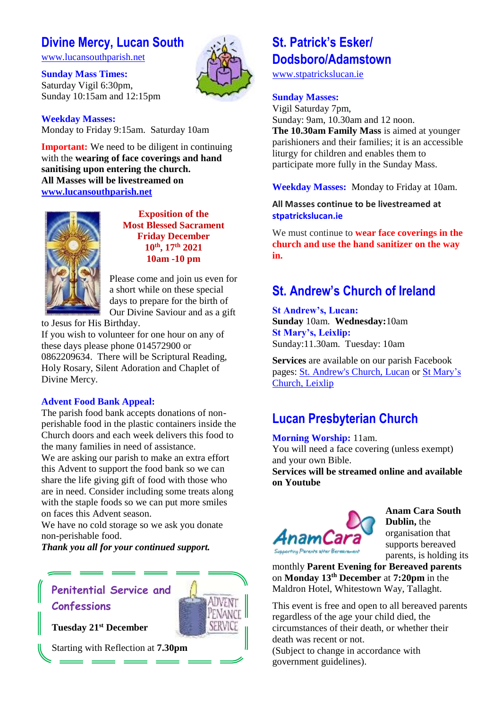## **Divine Mercy, Lucan South**

[www.lucansouthparish.net](http://www.lucansouthparish.net/)

#### **Sunday Mass Times:** Saturday Vigil 6:30pm, Sunday 10:15am and 12:15pm



**Weekday Masses:** Monday to Friday 9:15am. Saturday 10am

**Important:** We need to be diligent in continuing with the **wearing of face coverings and hand sanitising upon entering the church. All Masses will be livestreamed on [www.lucansouthparish.net](http://www.lucansouthparish.net/)**



**Exposition of the Most Blessed Sacrament Friday December 10th, 17th 2021 10am -10 pm**

Please come and join us even for a short while on these special days to prepare for the birth of Our Divine Saviour and as a gift

to Jesus for His Birthday.

If you wish to volunteer for one hour on any of these days please phone 014572900 or 0862209634. There will be Scriptural Reading, Holy Rosary, Silent Adoration and Chaplet of Divine Mercy.

### **Advent Food Bank Appeal:**

The parish food bank accepts donations of nonperishable food in the plastic containers inside the Church doors and each week delivers this food to the many families in need of assistance.

We are asking our parish to make an extra effort this Advent to support the food bank so we can share the life giving gift of food with those who are in need. Consider including some treats along with the staple foods so we can put more smiles on faces this Advent season.

We have no cold storage so we ask you donate non-perishable food.

ADVENT

SERVICE

*Thank you all for your continued support.*

## **Penitential Service and Confessions**

**Tuesday 21st December**

Starting with Reflection at **7.30pm**

## **St. Patrick's Esker/ Dodsboro/Adamstown**

[www.stpatrickslucan.ie](http://www.stpatrickslucan.ie/)

#### **Sunday Masses:**

Vigil Saturday 7pm, Sunday: 9am, 10.30am and 12 noon. **The 10.30am Family Mass** is aimed at younger parishioners and their families; it is an accessible liturgy for children and enables them to participate more fully in the Sunday Mass.

#### **Weekday Masses:** Monday to Friday at 10am.

**All Masses continue to be livestreamed at stpatrickslucan.ie**

We must continue to **wear face coverings in the church and use the hand sanitizer on the way in.**

## **St. Andrew's Church of Ireland**

**St Andrew's, Lucan: Sunday** 10am. **Wednesday:**10am **St Mary's, Leixlip:**  Sunday:11.30am. Tuesday: 10am

**Services** are available on our parish Facebook pages: [St. Andrew's Church, Lucan](https://www.facebook.com/standrewslucan/) or [St Mary's](https://www.facebook.com/stmarysleixlip/)  [Church, Leixlip](https://www.facebook.com/stmarysleixlip/)

## **Lucan Presbyterian Church**

### **Morning Worship:** 11am.

You will need a face covering (unless exempt) and your own Bible.

**Services will be streamed online and available on Youtube**



**Anam Cara South Dublin,** the organisation that supports bereaved parents, is holding its

monthly **Parent Evening for Bereaved parents** on **Monday 13th December** at **7:20pm** in the Maldron Hotel, Whitestown Way, Tallaght.

This event is free and open to all bereaved parents regardless of the age your child died, the circumstances of their death, or whether their death was recent or not.

(Subject to change in accordance with government guidelines).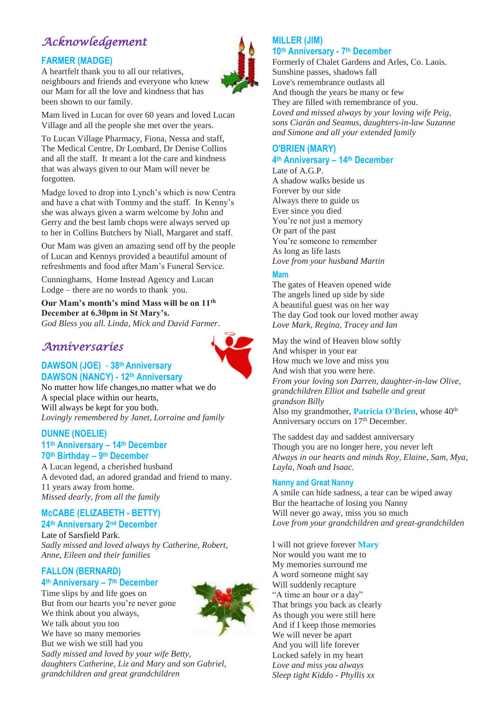## *Acknowledgement*

### **FARMER (MADGE)**

A heartfelt thank you to all our relatives, neighbours and friends and everyone who knew our Mam for all the love and kindness that has been shown to our family.



Mam lived in Lucan for over 60 years and loved Lucan Village and all the people she met over the years.

To Lucan Village Pharmacy, Fiona, Nessa and staff, The Medical Centre, Dr Lombard, Dr Denise Collins and all the staff. It meant a lot the care and kindness that was always given to our Mam will never be forgotten.

Madge loved to drop into Lynch's which is now Centra and have a chat with Tommy and the staff. In Kenny's she was always given a warm welcome by John and Gerry and the best lamb chops were always served up to her in Collins Butchers by Niall, Margaret and staff.

Our Mam was given an amazing send off by the people of Lucan and Kennys provided a beautiful amount of refreshments and food after Mam's Funeral Service.

Cunninghams, Home Instead Agency and Lucan Lodge – there are no words to thank you.

#### **Our Mam's month's mind Mass will be on 11th December at 6.30pm in St Mary's.**

*God Bless you all. Linda, Mick and David Farmer*.

### *Anniversaries*



**DAWSON (JOE)** - **38th Anniversary DAWSON (NANCY) - 12th Anniversary**

No matter how life changes,no matter what we do A special place within our hearts, Will always be kept for you both. *Lovingly remembered by Janet, Lorraine and family*

### **DUNNE (NOELIE)**

#### **11th Anniversary – 14th December 70th Birthday – 9 th December**

A Lucan legend, a cherished husband A devoted dad, an adored grandad and friend to many. 11 years away from home. *Missed dearly, from all the family*

#### **McCABE (ELIZABETH - BETTY) 24th Anniversary 2nd December**

Late of Sarsfield Park. *Sadly missed and loved always by Catherine, Robert, Anne, Eileen and their families*

#### **FALLON (BERNARD) 4 th Anniversary – 7 th December**

Time slips by and life goes on But from our hearts you're never gone We think about you always, We talk about you too We have so many memories But we wish we still had you *Sadly missed and loved by your wife Betty, daughters Catherine, Liz and Mary and son Gabriel, grandchildren and great grandchildren* 

## **MILLER (JIM)**

#### **10th Anniversary - 7 th December**

Formerly of Chalet Gardens and Arles, Co. Laois. Sunshine passes, shadows fall Love's remembrance outlasts all And though the years be many or few They are filled with remembrance of you. *Loved and missed always by your loving wife Peig, sons Ciarán and Seamus, daughters-in-law Suzanne and Simone and all your extended family*

### **O'BRIEN (MARY) 4 th Anniversary – 14th December**

Late of A.G.P. A shadow walks beside us Forever by our side Always there to guide us Ever since you died You're not just a memory Or part of the past You're someone to remember As long as life lasts *Love from your husband Martin*

#### **Mam**

The gates of Heaven opened wide The angels lined up side by side A beautiful guest was on her way The day God took our loved mother away *Love Mark, Regina, Tracey and Ian*

May the wind of Heaven blow softly And whisper in your ear How much we love and miss you And wish that you were here. *From your loving son Darren, daughter-in-law Olive, grandchildren Elliot and Isabelle and great grandson Billy* Also my grandmother, **Patricia O'Brien**, whose 40<sup>th</sup> Anniversary occurs on 17<sup>th</sup> December.

The saddest day and saddest anniversary Though you are no longer here, you never left *Always in our hearts and minds Roy, Elaine, Sam, Mya, Layla, Noah and Isaac.*

#### **Nanny and Great Nanny**

A smile can hide sadness, a tear can be wiped away Bur the heartache of losing you Nanny Will never go away, miss you so much *Love from your grandchildren and great-grandchilden*

I will not grieve forever **Mary** Nor would you want me to My memories surround me A word someone might say Will suddenly recapture "A time an hour or a day" That brings you back as clearly As though you were still here And if I keep those memories We will never be apart And you will life forever Locked safely in my heart *Love and miss you always Sleep tight Kiddo - Phyllis xx*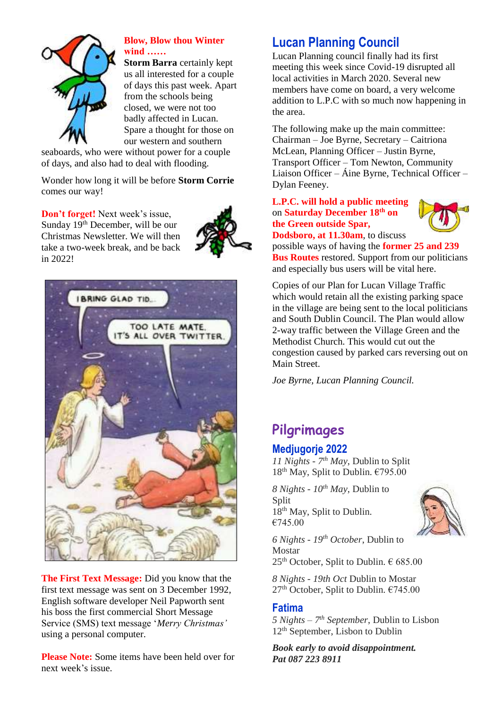

### **Blow, Blow thou Winter wind ……**

**Storm Barra** certainly kept us all interested for a couple of days this past week. Apart from the schools being closed, we were not too badly affected in Lucan. Spare a thought for those on our western and southern

seaboards, who were without power for a couple of days, and also had to deal with flooding.

Wonder how long it will be before **Storm Corrie** comes our way!

**Don't forget!** Next week's issue, Sunday 19th December, will be our Christmas Newsletter. We will then take a two-week break, and be back in 2022!





**The First Text Message:** Did you know that the first text message was sent on 3 December 1992, English software developer Neil Papworth sent his boss the first commercial Short Message Service (SMS) text message '*Merry Christmas'* using a personal computer.

**Please Note:** Some items have been held over for next week's issue.

## **Lucan Planning Council**

Lucan Planning council finally had its first meeting this week since Covid-19 disrupted all local activities in March 2020. Several new members have come on board, a very welcome addition to L.P.C with so much now happening in the area.

The following make up the main committee: Chairman – Joe Byrne, Secretary – Caitriona McLean, Planning Officer – Justin Byrne, Transport Officer – Tom Newton, Community Liaison Officer – Áine Byrne, Technical Officer – Dylan Feeney.

#### **L.P.C. will hold a public meeting** on **Saturday December 18th on the Green outside Spar, Dodsboro, at 11.30am**, to discuss



possible ways of having the **former 25 and 239 Bus Routes** restored. Support from our politicians and especially bus users will be vital here.

Copies of our Plan for Lucan Village Traffic which would retain all the existing parking space in the village are being sent to the local politicians and South Dublin Council. The Plan would allow 2-way traffic between the Village Green and the Methodist Church. This would cut out the congestion caused by parked cars reversing out on Main Street.

*Joe Byrne, Lucan Planning Council.* 

# **Pilgrimages**

### **Medjugorje 2022**

*11 Nights - 7 th May*, Dublin to Split 18th May, Split to Dublin. €795.00

*8 Nights - 10th May*, Dublin to Split 18<sup>th</sup> May, Split to Dublin. €745.00



*6 Nights - 19th October*, Dublin to Mostar  $25<sup>th</sup>$  October, Split to Dublin.  $\in$  685.00

*8 Nights - 19th Oct* Dublin to Mostar  $27<sup>th</sup>$  October, Split to Dublin.  $€745.00$ 

### **Fatima**

*5 Nights – 7 th September*, Dublin to Lisbon 12<sup>th</sup> September, Lisbon to Dublin

*Book early to avoid disappointment. Pat 087 223 8911*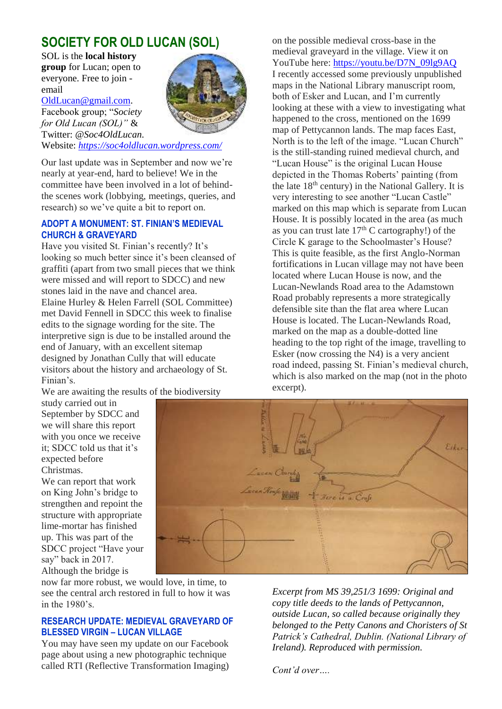## **SOCIETY FOR OLD LUCAN (SOL)**

SOL is the **local history group** for Lucan; open to everyone. Free to join email

[OldLucan@gmail.com.](mailto:OldLucan@gmail.com)

Facebook group; "*Society for Old Lucan (SOL)"* & Twitter: *@Soc4OldLucan.* Website: *<https://soc4oldlucan.wordpress.com/>*



Our last update was in September and now we're

nearly at year-end, hard to believe! We in the committee have been involved in a lot of behindthe scenes work (lobbying, meetings, queries, and research) so we've quite a bit to report on.

#### **ADOPT A MONUMENT: ST. FINIAN'S MEDIEVAL CHURCH & GRAVEYARD**

Have you visited St. Finian's recently? It's looking so much better since it's been cleansed of graffiti (apart from two small pieces that we think were missed and will report to SDCC) and new stones laid in the nave and chancel area. Elaine Hurley & Helen Farrell (SOL Committee) met David Fennell in SDCC this week to finalise edits to the signage wording for the site. The interpretive sign is due to be installed around the end of January, with an excellent sitemap designed by Jonathan Cully that will educate visitors about the history and archaeology of St. Finian's.

We are awaiting the results of the biodiversity

study carried out in September by SDCC and we will share this report with you once we receive it; SDCC told us that it's expected before Christmas.

We can report that work on King John's bridge to strengthen and repoint the structure with appropriate lime-mortar has finished up. This was part of the SDCC project "Have your say" back in 2017. Although the bridge is

now far more robust, we would love, in time, to see the central arch restored in full to how it was in the 1980's.

#### **RESEARCH UPDATE: MEDIEVAL GRAVEYARD OF BLESSED VIRGIN – LUCAN VILLAGE**

You may have seen my update on our Facebook page about using a new photographic technique called RTI (Reflective Transformation Imaging)

on the possible medieval cross-base in the medieval graveyard in the village. View it on YouTube here[: https://youtu.be/D7N\\_09lg9AQ](https://youtu.be/D7N_09lg9AQ) I recently accessed some previously unpublished maps in the National Library manuscript room, both of Esker and Lucan, and I'm currently looking at these with a view to investigating what happened to the cross, mentioned on the 1699 map of Pettycannon lands. The map faces East, North is to the left of the image. "Lucan Church" is the still-standing ruined medieval church, and "Lucan House" is the original Lucan House depicted in the Thomas Roberts' painting (from the late  $18<sup>th</sup>$  century) in the National Gallery. It is very interesting to see another "Lucan Castle" marked on this map which is separate from Lucan House. It is possibly located in the area (as much as you can trust late  $17<sup>th</sup>$  C cartography!) of the Circle K garage to the Schoolmaster's House? This is quite feasible, as the first Anglo-Norman fortifications in Lucan village may not have been located where Lucan House is now, and the Lucan-Newlands Road area to the Adamstown Road probably represents a more strategically defensible site than the flat area where Lucan House is located. The Lucan-Newlands Road, marked on the map as a double-dotted line heading to the top right of the image, travelling to Esker (now crossing the N4) is a very ancient road indeed, passing St. Finian's medieval church, which is also marked on the map (not in the photo excerpt).



*Excerpt from MS 39,251/3 1699: Original and copy title deeds to the lands of Pettycannon, outside Lucan, so called because originally they belonged to the Petty Canons and Choristers of St Patrick's Cathedral, Dublin. (National Library of Ireland). Reproduced with permission.* 

*Cont'd over….*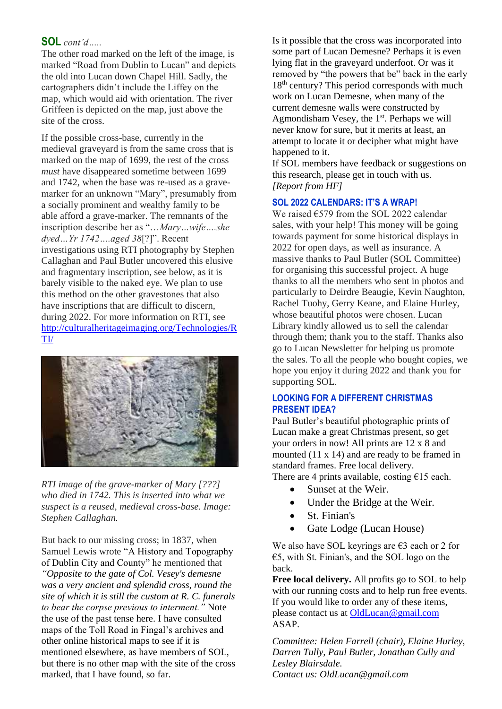### **SOL** *cont'd…..*

The other road marked on the left of the image, is marked "Road from Dublin to Lucan" and depicts the old into Lucan down Chapel Hill. Sadly, the cartographers didn't include the Liffey on the map, which would aid with orientation. The river Griffeen is depicted on the map, just above the site of the cross.

If the possible cross-base, currently in the medieval graveyard is from the same cross that is marked on the map of 1699, the rest of the cross *must* have disappeared sometime between 1699 and 1742, when the base was re-used as a gravemarker for an unknown "Mary", presumably from a socially prominent and wealthy family to be able afford a grave-marker. The remnants of the inscription describe her as "…*Mary…wife….she dyed…Yr 1742….aged 38*[?]". Recent investigations using RTI photography by Stephen Callaghan and Paul Butler uncovered this elusive and fragmentary inscription, see below, as it is barely visible to the naked eye. We plan to use this method on the other gravestones that also have inscriptions that are difficult to discern, during 2022. For more information on RTI, see [http://culturalheritageimaging.org/Technologies/R](http://culturalheritageimaging.org/Technologies/RTI/) [TI/](http://culturalheritageimaging.org/Technologies/RTI/)



*RTI image of the grave-marker of Mary [???] who died in 1742. This is inserted into what we suspect is a reused, medieval cross-base. Image: Stephen Callaghan.* 

But back to our missing cross; in 1837, when Samuel Lewis wrote "A History and Topography of Dublin City and County" he mentioned that *"Opposite to the gate of Col. [Vesey's](https://irelandxo.com/ireland-xo/history-and-genealogy/ancestor-database/colonel-vesey) demesne was a very ancient and splendid cross, round the site of which it is still the custom at R. C. funerals to bear the corpse previous to interment."* Note the use of the past tense here. I have consulted maps of the Toll Road in Fingal's archives and other online historical maps to see if it is mentioned elsewhere, as have members of SOL, but there is no other map with the site of the cross marked, that I have found, so far.

Is it possible that the cross was incorporated into some part of Lucan Demesne? Perhaps it is even lying flat in the graveyard underfoot. Or was it removed by "the powers that be" back in the early 18<sup>th</sup> century? This period corresponds with much work on Lucan Demesne, when many of the current demesne walls were constructed by Agmondisham Vesey, the  $1<sup>st</sup>$ . Perhaps we will never know for sure, but it merits at least, an attempt to locate it or decipher what might have happened to it.

If SOL members have feedback or suggestions on this research, please get in touch with us. *[Report from HF]*

#### **SOL 2022 CALENDARS: IT'S A WRAP!**

We raised €579 from the SOL 2022 calendar sales, with your help! This money will be going towards payment for some historical displays in 2022 for open days, as well as insurance. A massive thanks to Paul Butler (SOL Committee) for organising this successful project. A huge thanks to all the members who sent in photos and particularly to Deirdre Beaugie, Kevin Naughton, Rachel Tuohy, Gerry Keane, and Elaine Hurley, whose beautiful photos were chosen. Lucan Library kindly allowed us to sell the calendar through them; thank you to the staff. Thanks also go to Lucan Newsletter for helping us promote the sales. To all the people who bought copies, we hope you enjoy it during 2022 and thank you for supporting SOL.

#### **LOOKING FOR A DIFFERENT CHRISTMAS PRESENT IDEA?**

Paul Butler's beautiful photographic prints of Lucan make a great Christmas present, so get your orders in now! All prints are 12 x 8 and mounted (11 x 14) and are ready to be framed in standard frames. Free local delivery. There are 4 prints available, costing  $£15$  each.

- Sunset at the Weir.
- Under the Bridge at the Weir.
- St. Finian's
- Gate Lodge (Lucan House)

We also have SOL keyrings are  $\epsilon$ 3 each or 2 for €5, with St. Finian's, and the SOL logo on the back.

**Free local delivery.** All profits go to SOL to help with our running costs and to help run free events. If you would like to order any of these items, please contact us at **OldLucan@gmail.com** ASAP.

*Committee: Helen Farrell (chair), Elaine Hurley, Darren Tully, Paul Butler, Jonathan Cully and Lesley Blairsdale. Contact us: OldLucan@gmail.com*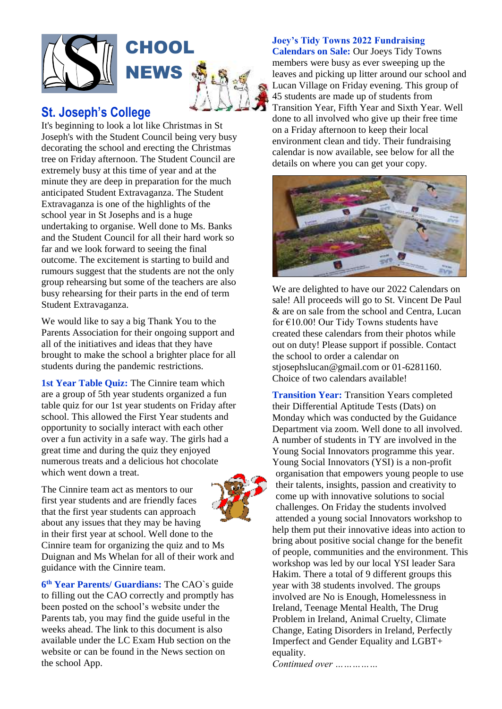

### **St. Joseph's College**

It's beginning to look a lot like Christmas in St Joseph's with the Student Council being very busy decorating the school and erecting the Christmas tree on Friday afternoon. The Student Council are extremely busy at this time of year and at the minute they are deep in preparation for the much anticipated Student Extravaganza. The Student Extravaganza is one of the highlights of the school year in St Josephs and is a huge undertaking to organise. Well done to Ms. Banks and the Student Council for all their hard work so far and we look forward to seeing the final outcome. The excitement is starting to build and rumours suggest that the students are not the only group rehearsing but some of the teachers are also busy rehearsing for their parts in the end of term Student Extravaganza.

We would like to say a big Thank You to the Parents Association for their ongoing support and all of the initiatives and ideas that they have brought to make the school a brighter place for all students during the pandemic restrictions.

1st Year Table Quiz: The Cinnire team which are a group of 5th year students organized a fun table quiz for our 1st year students on Friday after school. This allowed the First Year students and opportunity to socially interact with each other over a fun activity in a safe way. The girls had a great time and during the quiz they enjoyed numerous treats and a delicious hot chocolate which went down a treat.

The Cinnire team act as mentors to our first year students and are friendly faces that the first year students can approach about any issues that they may be having in their first year at school. Well done to the Cinnire team for organizing the quiz and to Ms Duignan and Ms Whelan for all of their work and guidance with the Cinnire team.

**6 th Year Parents/ Guardians:** The CAO`s guide to filling out the CAO correctly and promptly has been posted on the school's website under the Parents tab, you may find the guide useful in the weeks ahead. The link to this document is also available under the LC Exam Hub section on the website or can be found in the News section on the school App.

#### **Joey's Tidy Towns 2022 Fundraising**

**Calendars on Sale:** Our Joeys Tidy Towns members were busy as ever sweeping up the leaves and picking up litter around our school and Lucan Village on Friday evening. This group of 45 students are made up of students from Transition Year, Fifth Year and Sixth Year. Well done to all involved who give up their free time on a Friday afternoon to keep their local environment clean and tidy. Their fundraising calendar is now available, see below for all the details on where you can get your copy.



We are delighted to have our 2022 Calendars on sale! All proceeds will go to St. Vincent De Paul & are on sale from the school and Centra, Lucan for €10.00! Our Tidy Towns students have created these calendars from their photos while out on duty! Please support if possible. Contact the school to order a calendar on stiosephslucan@gmail.com or 01-6281160. Choice of two calendars available!

**Transition Year:** Transition Years completed their Differential Aptitude Tests (Dats) on Monday which was conducted by the Guidance Department via zoom. Well done to all involved. A number of students in TY are involved in the Young Social Innovators programme this year. Young Social Innovators (YSI) is a non-profit organisation that empowers young people to use their talents, insights, passion and creativity to come up with innovative solutions to social challenges. On Friday the students involved attended a young social Innovators workshop to help them put their innovative ideas into action to bring about positive social change for the benefit of people, communities and the environment. This workshop was led by our local YSI leader Sara Hakim. There a total of 9 different groups this year with 38 students involved. The groups involved are No is Enough, Homelessness in Ireland, Teenage Mental Health, The Drug Problem in Ireland, Animal Cruelty, Climate Change, Eating Disorders in Ireland, Perfectly Imperfect and Gender Equality and LGBT+ equality.

*Continued over ……………*

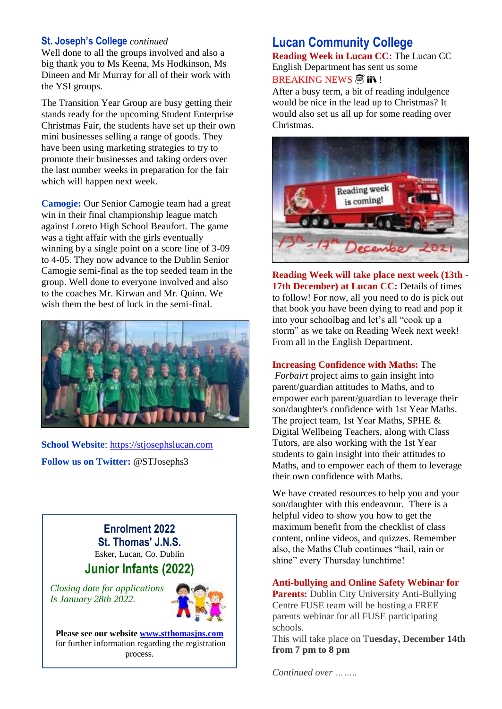#### **St. Joseph's College** *continued*

Well done to all the groups involved and also a big thank you to Ms Keena, Ms Hodkinson, Ms Dineen and Mr Murray for all of their work with the YSI groups.

The Transition Year Group are busy getting their stands ready for the upcoming Student Enterprise Christmas Fair, the students have set up their own mini businesses selling a range of goods. They have been using marketing strategies to try to promote their businesses and taking orders over the last number weeks in preparation for the fair which will happen next week.

**Camogie:** Our Senior Camogie team had a great win in their final championship league match against Loreto High School Beaufort. The game was a tight affair with the girls eventually winning by a single point on a score line of 3-09 to 4-05. They now advance to the Dublin Senior Camogie semi-final as the top seeded team in the group. Well done to everyone involved and also to the coaches Mr. Kirwan and Mr. Quinn. We wish them the best of luck in the semi-final.



**School Website**: [https://stjosephslucan.com](https://stjosephslucan.com/) **Follow us on Twitter:** @STJosephs3

> **Enrolment 2022 St. Thomas' J.N.S.** Esker, Lucan, Co. Dublin **Junior Infants (2022)**

*Closing date for applications Is January 28th 2022.*



**Please see our website [www.stthomasjns.com](http://www.stthomasjns.com/)** for further information regarding the registration process.

### **Lucan Community College**

**Reading Week in Lucan CC:** The Lucan CC English Department has sent us some BREAKING NEWS  $\mathbb{\mathbb{R}}$  in !

After a busy term, a bit of reading indulgence would be nice in the lead up to Christmas? It would also set us all up for some reading over Christmas.



**Reading Week will take place next week (13th - 17th December) at Lucan CC:** Details of times to follow! For now, all you need to do is pick out that book you have been dying to read and pop it into your schoolbag and let's all "cook up a storm" as we take on Reading Week next week! From all in the English Department.

#### **Increasing Confidence with Maths:** The

*Forbairt* project aims to gain insight into parent/guardian attitudes to Maths, and to empower each parent/guardian to leverage their son/daughter's confidence with 1st Year Maths. The project team, 1st Year Maths, SPHE & Digital Wellbeing Teachers, along with Class Tutors, are also working with the 1st Year students to gain insight into their attitudes to Maths, and to empower each of them to leverage their own confidence with Maths.

We have created resources to help you and your son/daughter with this endeavour. There is a helpful video to show you how to get the maximum benefit from the checklist of class content, online videos, and quizzes. Remember also, the Maths Club continues "hail, rain or shine" every Thursday lunchtime!

#### **Anti-bullying and Online Safety Webinar for**

**Parents:** Dublin City University Anti-Bullying Centre FUSE team will be hosting a FREE parents webinar for all FUSE participating schools.

This will take place on T**uesday, December 14th from 7 pm to 8 pm**

*Continued over ……..*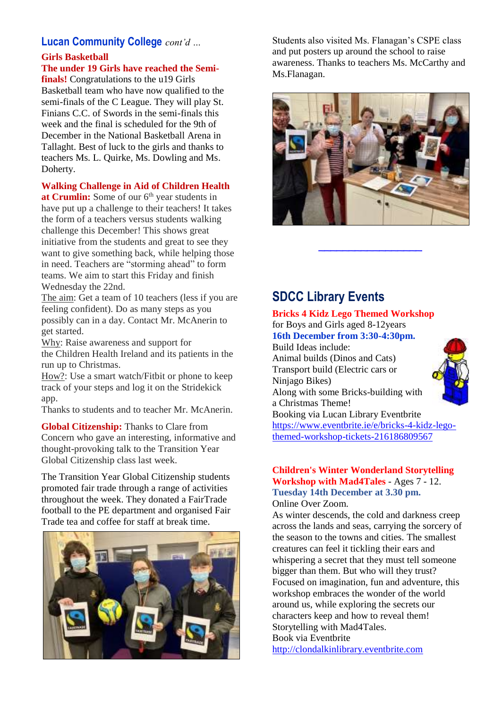### **Lucan Community College** *cont'd …*

#### **Girls Basketball The under 19 Girls have reached the Semi-**

**finals!** Congratulations to the u19 Girls Basketball team who have now qualified to the semi-finals of the C League. They will play St. Finians C.C. of Swords in the semi-finals this week and the final is scheduled for the 9th of December in the National Basketball Arena in Tallaght. Best of luck to the girls and thanks to teachers Ms. L. Quirke, Ms. Dowling and Ms. Doherty.

### **Walking Challenge in Aid of Children Health**

at Crumlin: Some of our 6<sup>th</sup> year students in have put up a challenge to their teachers! It takes the form of a teachers versus students walking challenge this December! This shows great initiative from the students and great to see they want to give something back, while helping those in need. Teachers are "storming ahead" to form teams. We aim to start this Friday and finish Wednesday the 22nd.

The aim: Get a team of 10 teachers (less if you are feeling confident). Do as many steps as you possibly can in a day. Contact Mr. McAnerin to get started.

Why: Raise awareness and support for the Children Health Ireland and its patients in the run up to Christmas.

How?: Use a smart watch/Fitbit or phone to keep track of your steps and log it on the Stridekick app.

Thanks to students and to teacher Mr. McAnerin.

**Global Citizenship:** Thanks to Clare from Concern who gave an interesting, informative and thought-provoking talk to the Transition Year Global Citizenship class last week.

The Transition Year Global Citizenship students promoted fair trade through a range of activities throughout the week. They donated a FairTrade football to the PE department and organised Fair Trade tea and coffee for staff at break time.



Students also visited Ms. Flanagan's CSPE class and put posters up around the school to raise awareness. Thanks to teachers Ms. McCarthy and Ms.Flanagan.



 $\overline{\phantom{a}}$  , where the contract of the contract of the contract of the contract of the contract of the contract of the contract of the contract of the contract of the contract of the contract of the contract of the contr

## **SDCC Library Events**

#### **Bricks 4 Kidz Lego Themed Workshop**  for Boys and Girls aged 8-12years **16th December from 3:30-4:30pm.**

Build Ideas include: Animal builds (Dinos and Cats) Transport build (Electric cars or Ninjago Bikes) Along with some Bricks-building with a Christmas Theme! Booking via Lucan Library Eventbrite [https://www.eventbrite.ie/e/bricks-4-kidz-lego](https://www.eventbrite.ie/e/bricks-4-kidz-lego-themed-workshop-tickets-216186809567)[themed-workshop-tickets-216186809567](https://www.eventbrite.ie/e/bricks-4-kidz-lego-themed-workshop-tickets-216186809567)



#### **Children's Winter Wonderland Storytelling Workshop with Mad4Tales** - Ages 7 - 12. **Tuesday 14th December at 3.30 pm.** Online Over Zoom.

As winter descends, the cold and darkness creep across the lands and seas, carrying the sorcery of the season to the towns and cities. The smallest creatures can feel it tickling their ears and whispering a secret that they must tell someone bigger than them. But who will they trust? Focused on imagination, fun and adventure, this workshop embraces the wonder of the world around us, while exploring the secrets our characters keep and how to reveal them! Storytelling with Mad4Tales. Book via Eventbrite

[http://clondalkinlibrary.eventbrite.com](http://clondalkinlibrary.eventbrite.com/)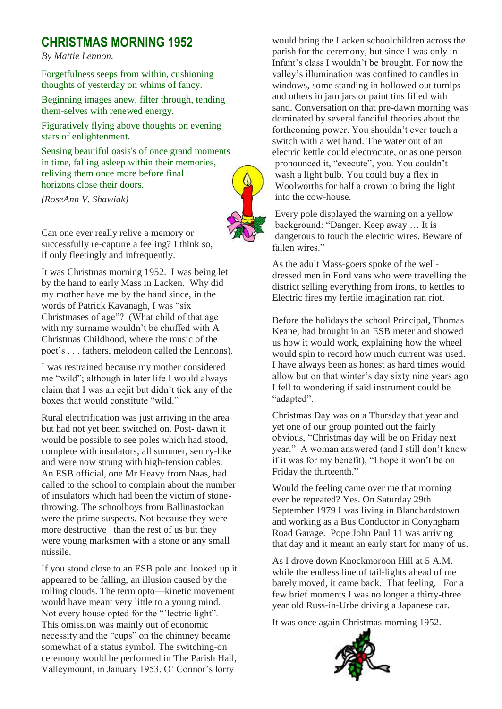## **CHRISTMAS MORNING 1952**

*By Mattie Lennon.*

Forgetfulness seeps from within, cushioning thoughts of yesterday on whims of fancy.

Beginning images anew, filter through, tending them-selves with renewed energy.

Figuratively flying above thoughts on evening stars of enlightenment.

Sensing beautiful oasis's of once grand moments in time, falling asleep within their memories, reliving them once more before final horizons close their doors.

*(RoseAnn V. Shawiak)*

Can one ever really relive a memory or successfully re-capture a feeling? I think so, if only fleetingly and infrequently.

It was Christmas morning 1952. I was being let by the hand to early Mass in Lacken. Why did my mother have me by the hand since, in the words of Patrick Kavanagh, I was "six Christmases of age"? (What child of that age with my surname wouldn't be chuffed with A Christmas Childhood, where the music of the poet's . . . fathers, melodeon called the Lennons).

I was restrained because my mother considered me "wild"; although in later life I would always claim that I was an eejit but didn't tick any of the boxes that would constitute "wild."

Rural electrification was just arriving in the area but had not yet been switched on. Post- dawn it would be possible to see poles which had stood, complete with insulators, all summer, sentry-like and were now strung with high-tension cables. An ESB official, one Mr Heavy from Naas, had called to the school to complain about the number of insulators which had been the victim of stonethrowing. The schoolboys from Ballinastockan were the prime suspects. Not because they were more destructive than the rest of us but they were young marksmen with a stone or any small missile.

If you stood close to an ESB pole and looked up it appeared to be falling, an illusion caused by the rolling clouds. The term opto—kinetic movement would have meant very little to a young mind. Not every house opted for the "'lectric light". This omission was mainly out of economic necessity and the "cups" on the chimney became somewhat of a status symbol. The switching-on ceremony would be performed in The Parish Hall, Valleymount, in January 1953. O' Connor's lorry

would bring the Lacken schoolchildren across the parish for the ceremony, but since I was only in Infant's class I wouldn't be brought. For now the valley's illumination was confined to candles in windows, some standing in hollowed out turnips and others in jam jars or paint tins filled with sand. Conversation on that pre-dawn morning was dominated by several fanciful theories about the forthcoming power. You shouldn't ever touch a switch with a wet hand. The water out of an electric kettle could electrocute, or as one person pronounced it, "execute", you. You couldn't wash a light bulb. You could buy a flex in Woolworths for half a crown to bring the light into the cow-house.

Every pole displayed the warning on a yellow background: "Danger. Keep away … It is dangerous to touch the electric wires. Beware of fallen wires."

As the adult Mass-goers spoke of the welldressed men in Ford vans who were travelling the district selling everything from irons, to kettles to Electric fires my fertile imagination ran riot.

Before the holidays the school Principal, Thomas Keane, had brought in an ESB meter and showed us how it would work, explaining how the wheel would spin to record how much current was used. I have always been as honest as hard times would allow but on that winter's day sixty nine years ago I fell to wondering if said instrument could be "adapted".

Christmas Day was on a Thursday that year and yet one of our group pointed out the fairly obvious, "Christmas day will be on Friday next year." A woman answered (and I still don't know if it was for my benefit), "I hope it won't be on Friday the thirteenth."

Would the feeling came over me that morning ever be repeated? Yes. On Saturday 29th September 1979 I was living in Blanchardstown and working as a Bus Conductor in Conyngham Road Garage. Pope John Paul 11 was arriving that day and it meant an early start for many of us.

As I drove down Knockmoroon Hill at 5 A.M. while the endless line of tail-lights ahead of me barely moved, it came back. That feeling. For a few brief moments I was no longer a thirty-three year old Russ-in-Urbe driving a Japanese car.

It was once again Christmas morning 1952.

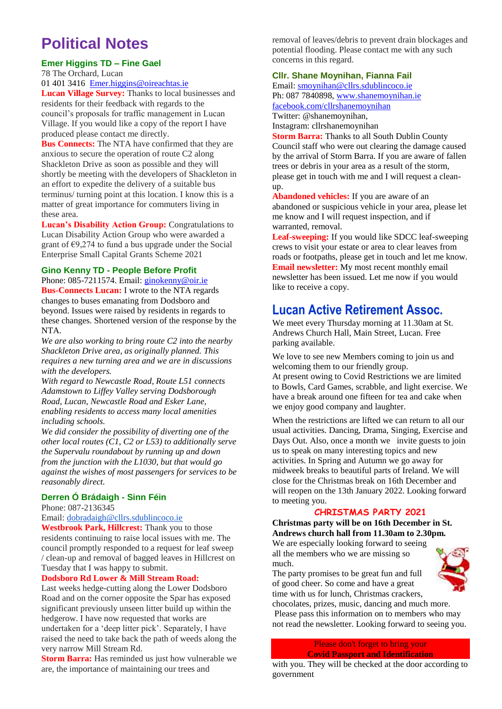# **Political Notes**

#### **Emer Higgins TD – Fine Gael**

78 The Orchard, Lucan [01 401 3416](tel:014013416) [Emer.higgins@oireachtas.ie](mailto:Emer.higgins@oireachtas.ie)

**Lucan Village Survey:** Thanks to local businesses and residents for their feedback with regards to the council's proposals for traffic management in Lucan Village. If you would like a copy of the report I have produced please contact me directly.

**Bus Connects:** The NTA have confirmed that they are anxious to secure the operation of route C2 along Shackleton Drive as soon as possible and they will shortly be meeting with the developers of Shackleton in an effort to expedite the delivery of a suitable bus terminus/ turning point at this location. I know this is a matter of great importance for commuters living in these area.

**Lucan's Disability Action Group:** Congratulations to Lucan Disability Action Group who were awarded a grant of  $\epsilon$ 9,274 to fund a bus upgrade under the Social Enterprise Small Capital Grants Scheme 2021

#### **Gino Kenny TD - People Before Profit** Phone: 085-7211574. Email: [ginokenny@oir.ie](mailto:ginokenny@oir.ie)

**Bus-Connects Lucan:** I wrote to the NTA regards changes to buses emanating from Dodsboro and beyond. Issues were raised by residents in regards to these changes. Shortened version of the response by the NTA.

*We are also working to bring route C2 into the nearby Shackleton Drive area, as originally planned. This requires a new turning area and we are in discussions with the developers.*

*With regard to Newcastle Road, Route L51 connects Adamstown to Liffey Valley serving Dodsborough Road, Lucan, Newcastle Road and Esker Lane, enabling residents to access many local amenities including schools.*

*We did consider the possibility of diverting one of the other local routes (C1, C2 or L53) to additionally serve the Supervalu roundabout by running up and down from the junction with the L1030, but that would go against the wishes of most passengers for services to be reasonably direct.*

#### **Derren Ó Brádaigh - Sinn Féin**

Phone: 087-2136345

#### Email: [dobradaigh@cllrs.sdublincoco.ie](mailto:dobradaigh@cllrs.sdublincoco.ie)

**Westbrook Park, Hillcrest:** Thank you to those residents continuing to raise local issues with me. The council promptly responded to a request for leaf sweep / clean-up and removal of bagged leaves in Hillcrest on Tuesday that I was happy to submit.

#### **Dodsboro Rd Lower & Mill Stream Road:**

Last weeks hedge-cutting along the Lower Dodsboro Road and on the corner opposite the Spar has exposed significant previously unseen litter build up within the hedgerow. I have now requested that works are undertaken for a 'deep litter pick'. Separately, I have raised the need to take back the path of weeds along the very narrow Mill Stream Rd.

**Storm Barra:** Has reminded us just how vulnerable we are, the importance of maintaining our trees and

removal of leaves/debris to prevent drain blockages and potential flooding. Please contact me with any such concerns in this regard.

#### **Cllr. Shane Moynihan, Fianna Fail**

Email: [smoynihan@cllrs.sdublincoco.ie](mailto:smoynihan@cllrs.sdublincoco.ie) Ph: 087 7840898, [www.shanemoynihan.ie](http://www.shanemoynihan.ie/) [facebook.com/cllrshanemoynihan](http://facebook.com/cllrshanemoynihan) Twitter: @shanemoynihan, Instagram: cllrshanemoynihan

**Storm Barra:** Thanks to all South Dublin County Council staff who were out clearing the damage caused by the arrival of Storm Barra. If you are aware of fallen trees or debris in your area as a result of the storm, please get in touch with me and I will request a cleanup.

**Abandoned vehicles:** If you are aware of an abandoned or suspicious vehicle in your area, please let me know and I will request inspection, and if warranted, removal.

**Leaf-sweeping:** If you would like SDCC leaf-sweeping crews to visit your estate or area to clear leaves from roads or footpaths, please get in touch and let me know. **Email newsletter:** My most recent monthly email newsletter has been issued. Let me now if you would like to receive a copy.

### **Lucan Active Retirement Assoc.**

We meet every Thursday morning at 11.30am at St. Andrews Church Hall, Main Street, Lucan. Free parking available.

We love to see new Members coming to join us and welcoming them to our friendly group. At present owing to Covid Restrictions we are limited to Bowls, Card Games, scrabble, and light exercise. We have a break around one fifteen for tea and cake when we enjoy good company and laughter.

When the restrictions are lifted we can return to all our usual activities. Dancing, Drama, Singing, Exercise and Days Out. Also, once a month we invite guests to join us to speak on many interesting topics and new activities. In Spring and Autumn we go away for midweek breaks to beautiful parts of Ireland. We will close for the Christmas break on 16th December and will reopen on the 13th January 2022. Looking forward to meeting you.

#### **CHRISTMAS PARTY 2021**

**Christmas party will be on 16th December in St. Andrews church hall from 11.30am to 2.30pm.** 

We are especially looking forward to seeing all the members who we are missing so much.



The party promises to be great fun and full of good cheer. So come and have a great time with us for lunch, Christmas crackers,

chocolates, prizes, music, dancing and much more. Please pass this information on to members who may not read the newsletter. Looking forward to seeing you.

> Please don't forget to bring your **Covid Passport and Identification**

with you. They will be checked at the door according to government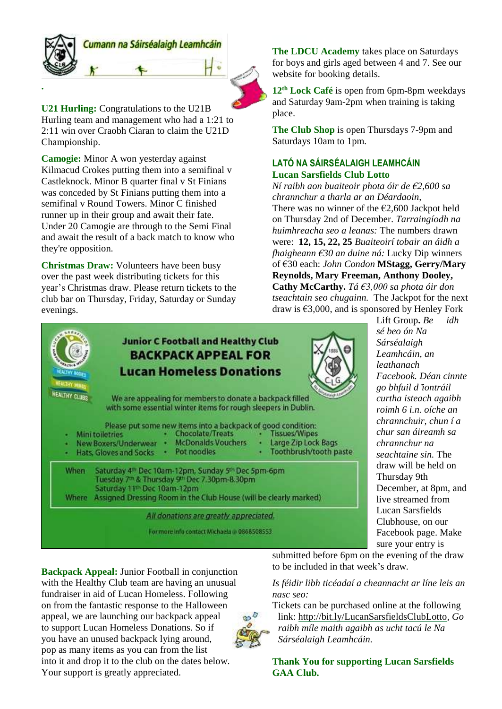

**U21 Hurling:** Congratulations to the U21B Hurling team and management who had a 1:21 to 2:11 win over Craobh Ciaran to claim the U21D Championship.

**Camogie:** Minor A won yesterday against Kilmacud Crokes putting them into a semifinal v Castleknock. Minor B quarter final v St Finians was conceded by St Finians putting them into a semifinal v Round Towers. Minor C finished runner up in their group and await their fate. Under 20 Camogie are through to the Semi Final and await the result of a back match to know who they're opposition.

**Christmas Draw:** Volunteers have been busy over the past week distributing tickets for this year's Christmas draw. Please return tickets to the club bar on Thursday, Friday, Saturday or Sunday evenings.

**The LDCU Academy** takes place on Saturdays for boys and girls aged between 4 and 7. See our website for booking details.

**12 th Lock Café** is open from 6pm-8pm weekdays and Saturday 9am-2pm when training is taking place.

**The Club Shop** is open Thursdays 7-9pm and Saturdays 10am to 1pm.

### **LATÓ NA SÁIRSÉALAIGH LEAMHCÁIN Lucan Sarsfields Club Lotto**

*Ní raibh aon buaiteoir phota óir de €2,600 sa chrannchur a tharla ar an Déardaoin,* There was no winner of the  $\epsilon$ 2,600 Jackpot held on Thursday 2nd of December. *Tarraingíodh na huimhreacha seo a leanas:* The numbers drawn were: **12, 15, 22, 25** *Buaiteoirí tobair an áidh a fhaigheann €30 an duine ná:* Lucky Dip winners of €30 each: *John Condon* **MStagg, Gerry/Mary Reynolds, Mary Freeman, Anthony Dooley, Cathy McCarthy.** *Tá €3,000 sa phota óir don tseachtain seo chugainn.* The Jackpot for the next draw is €3,000, and is sponsored by Henley Fork



Lift Group**.** *Be idh sé beo ón Na Sárséalaigh Leamhcáin, an leathanach Facebook. Déan cinnte go bhfuil d*'*iontráil curtha isteach agaibh roimh 6 i.n. oíche an chrannchuir, chun í a chur san áireamh sa chrannchur na seachtaine sin.* The draw will be held on Thursday 9th December, at 8pm, and live streamed from Lucan Sarsfields Clubhouse, on our Facebook page. Make sure your entry is

**Backpack Appeal:** Junior Football in conjunction with the Healthy Club team are having an unusual fundraiser in aid of Lucan Homeless. Following on from the fantastic response to the Halloween appeal, we are launching our backpack appeal to support Lucan Homeless Donations. So if you have an unused backpack lying around, pop as many items as you can from the list into it and drop it to the club on the dates below. Your support is greatly appreciated.

submitted before 6pm on the evening of the draw to be included in that week's draw.

*Is féidir libh ticéadaí a cheannacht ar líne leis an nasc seo:*

Tickets can be purchased online at the following link: [http://bit.ly/LucanSarsfieldsClubLotto,](http://bit.ly/LucanSarsfieldsClubLotto) *Go raibh míle maith agaibh as ucht tacú le Na Sárséalaigh Leamhcáin.*

**Thank You for supporting Lucan Sarsfields GAA Club.**



17